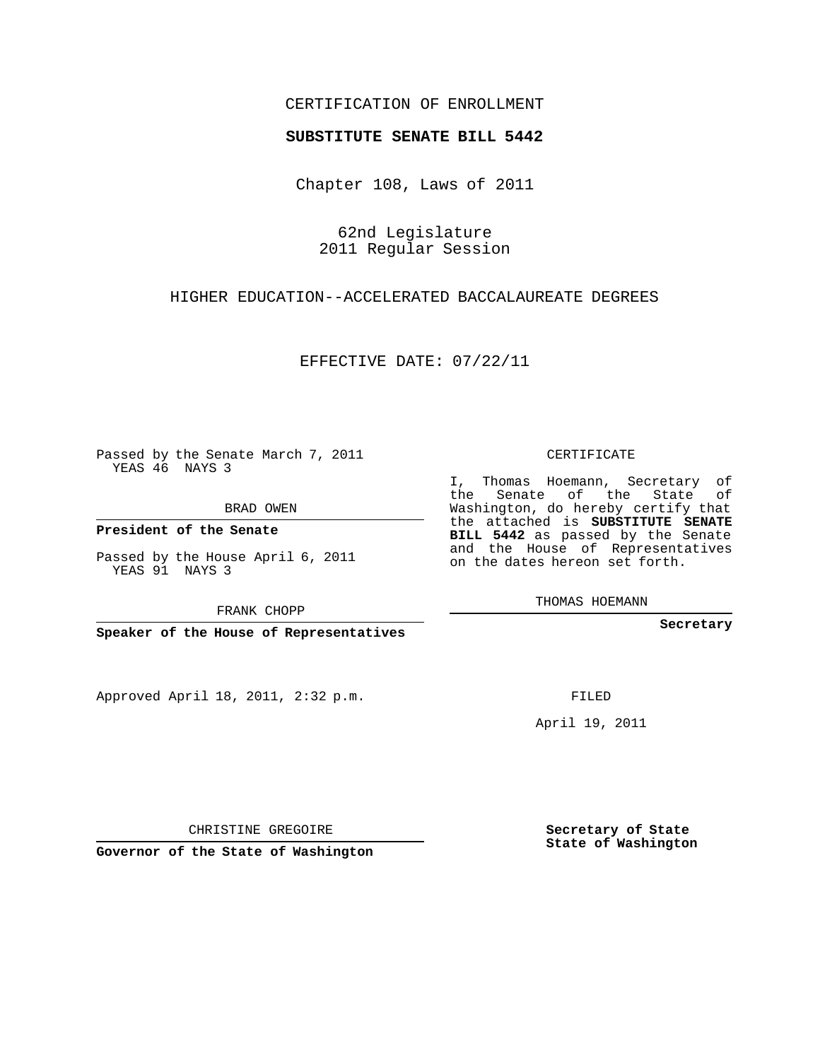# CERTIFICATION OF ENROLLMENT

#### **SUBSTITUTE SENATE BILL 5442**

Chapter 108, Laws of 2011

62nd Legislature 2011 Regular Session

# HIGHER EDUCATION--ACCELERATED BACCALAUREATE DEGREES

EFFECTIVE DATE: 07/22/11

Passed by the Senate March 7, 2011 YEAS 46 NAYS 3

BRAD OWEN

**President of the Senate**

Passed by the House April 6, 2011 YEAS 91 NAYS 3

FRANK CHOPP

**Speaker of the House of Representatives**

Approved April 18, 2011, 2:32 p.m.

CERTIFICATE

I, Thomas Hoemann, Secretary of the Senate of the State of Washington, do hereby certify that the attached is **SUBSTITUTE SENATE BILL 5442** as passed by the Senate and the House of Representatives on the dates hereon set forth.

THOMAS HOEMANN

**Secretary**

FILED

April 19, 2011

CHRISTINE GREGOIRE

**Governor of the State of Washington**

**Secretary of State State of Washington**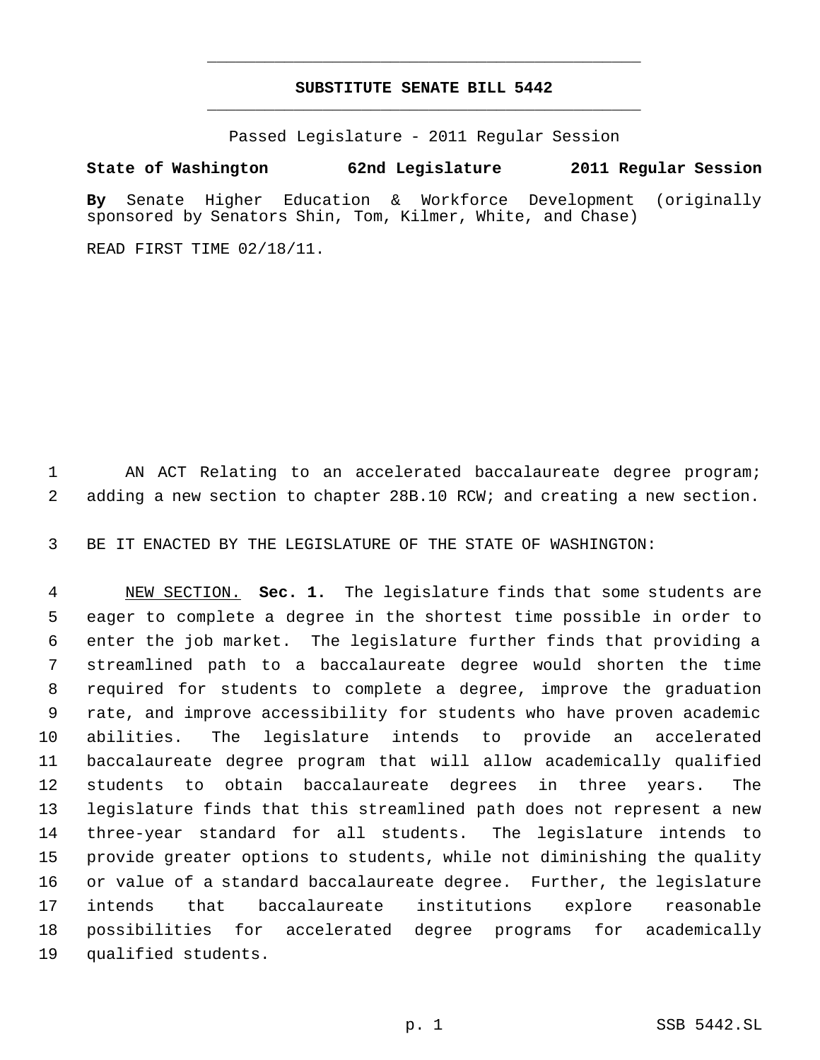# **SUBSTITUTE SENATE BILL 5442** \_\_\_\_\_\_\_\_\_\_\_\_\_\_\_\_\_\_\_\_\_\_\_\_\_\_\_\_\_\_\_\_\_\_\_\_\_\_\_\_\_\_\_\_\_

\_\_\_\_\_\_\_\_\_\_\_\_\_\_\_\_\_\_\_\_\_\_\_\_\_\_\_\_\_\_\_\_\_\_\_\_\_\_\_\_\_\_\_\_\_

Passed Legislature - 2011 Regular Session

# **State of Washington 62nd Legislature 2011 Regular Session**

**By** Senate Higher Education & Workforce Development (originally sponsored by Senators Shin, Tom, Kilmer, White, and Chase)

READ FIRST TIME 02/18/11.

 AN ACT Relating to an accelerated baccalaureate degree program; adding a new section to chapter 28B.10 RCW; and creating a new section.

BE IT ENACTED BY THE LEGISLATURE OF THE STATE OF WASHINGTON:

 NEW SECTION. **Sec. 1.** The legislature finds that some students are eager to complete a degree in the shortest time possible in order to enter the job market. The legislature further finds that providing a streamlined path to a baccalaureate degree would shorten the time required for students to complete a degree, improve the graduation rate, and improve accessibility for students who have proven academic abilities. The legislature intends to provide an accelerated baccalaureate degree program that will allow academically qualified students to obtain baccalaureate degrees in three years. The legislature finds that this streamlined path does not represent a new three-year standard for all students. The legislature intends to provide greater options to students, while not diminishing the quality or value of a standard baccalaureate degree. Further, the legislature intends that baccalaureate institutions explore reasonable possibilities for accelerated degree programs for academically qualified students.